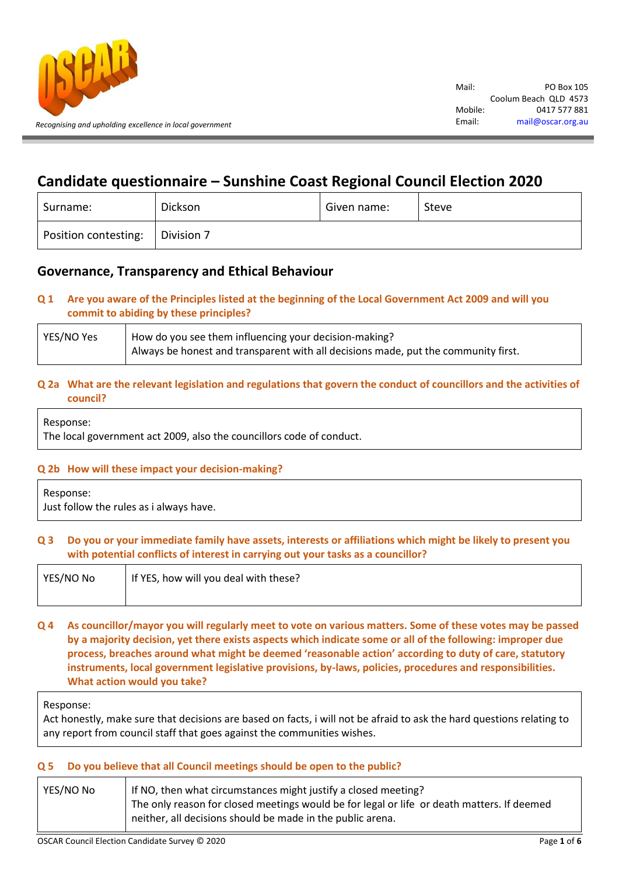

# **Candidate questionnaire – Sunshine Coast Regional Council Election 2020**

| Surname:             | Dickson    | Given name: | Steve |
|----------------------|------------|-------------|-------|
| Position contesting: | Division 7 |             |       |

## **Governance, Transparency and Ethical Behaviour**

## **Q 1 Are you aware of the Principles listed at the beginning of the Local Government Act 2009 and will you commit to abiding by these principles?**

| YES/NO Yes | How do you see them influencing your decision-making?                              |  |
|------------|------------------------------------------------------------------------------------|--|
|            | Always be honest and transparent with all decisions made, put the community first. |  |

## **Q 2a What are the relevant legislation and regulations that govern the conduct of councillors and the activities of council?**

Response:

The local government act 2009, also the councillors code of conduct.

#### **Q 2b How will these impact your decision-making?**

Response: Just follow the rules as i always have.

## **Q 3 Do you or your immediate family have assets, interests or affiliations which might be likely to present you with potential conflicts of interest in carrying out your tasks as a councillor?**

| YES/NO No | If YES, how will you deal with these? |
|-----------|---------------------------------------|
|           |                                       |

**Q 4 As councillor/mayor you will regularly meet to vote on various matters. Some of these votes may be passed by a majority decision, yet there exists aspects which indicate some or all of the following: improper due process, breaches around what might be deemed 'reasonable action' according to duty of care, statutory instruments, local government legislative provisions, by-laws, policies, procedures and responsibilities. What action would you take?**

Response:

Act honestly, make sure that decisions are based on facts, i will not be afraid to ask the hard questions relating to any report from council staff that goes against the communities wishes.

## **Q 5 Do you believe that all Council meetings should be open to the public?**

| YES/NO No | If NO, then what circumstances might justify a closed meeting?                                                                                           |  |
|-----------|----------------------------------------------------------------------------------------------------------------------------------------------------------|--|
|           | The only reason for closed meetings would be for legal or life or death matters. If deemed<br>neither, all decisions should be made in the public arena. |  |
|           |                                                                                                                                                          |  |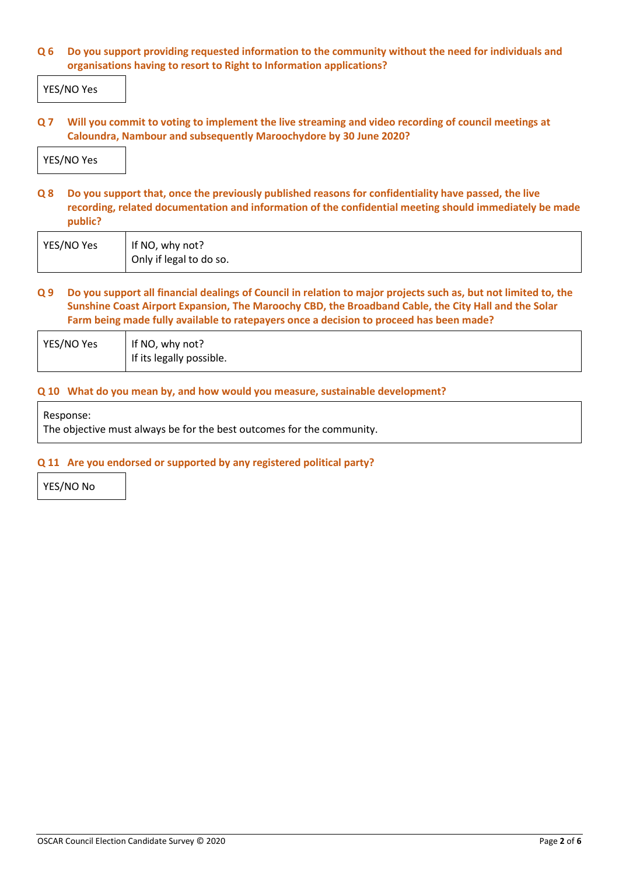## **Q 6 Do you support providing requested information to the community without the need for individuals and organisations having to resort to Right to Information applications?**

YES/NO Yes

**Q 7 Will you commit to voting to implement the live streaming and video recording of council meetings at Caloundra, Nambour and subsequently Maroochydore by 30 June 2020?**

YES/NO Yes

**Q 8 Do you support that, once the previously published reasons for confidentiality have passed, the live recording, related documentation and information of the confidential meeting should immediately be made public?**

| YES/NO Yes | If NO, why not?         |
|------------|-------------------------|
|            | Only if legal to do so. |

**Q 9 Do you support all financial dealings of Council in relation to major projects such as, but not limited to, the Sunshine Coast Airport Expansion, The Maroochy CBD, the Broadband Cable, the City Hall and the Solar Farm being made fully available to ratepayers once a decision to proceed has been made?**

| YES/NO Yes | If NO, why not?            |
|------------|----------------------------|
|            | I If its legally possible. |

#### **Q 10 What do you mean by, and how would you measure, sustainable development?**

Response:

The objective must always be for the best outcomes for the community.

#### **Q 11 Are you endorsed or supported by any registered political party?**

YES/NO No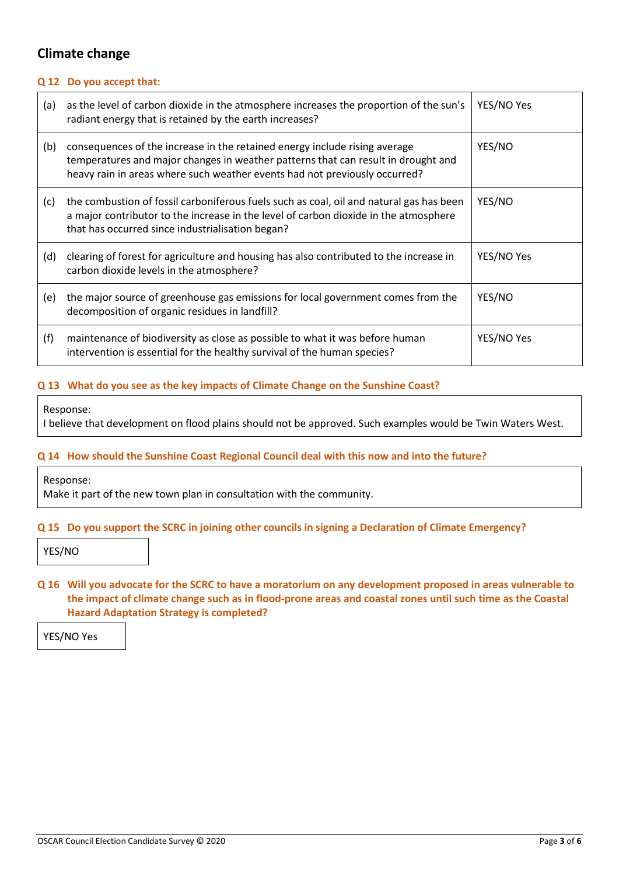## **Climate change**

#### **Q 12 Do you accept that:**

| (a) | as the level of carbon dioxide in the atmosphere increases the proportion of the sun's<br>radiant energy that is retained by the earth increases?                                                                                             | YES/NO Yes |
|-----|-----------------------------------------------------------------------------------------------------------------------------------------------------------------------------------------------------------------------------------------------|------------|
| (b) | consequences of the increase in the retained energy include rising average<br>temperatures and major changes in weather patterns that can result in drought and<br>heavy rain in areas where such weather events had not previously occurred? | YES/NO     |
| (c) | the combustion of fossil carboniferous fuels such as coal, oil and natural gas has been<br>a major contributor to the increase in the level of carbon dioxide in the atmosphere<br>that has occurred since industrialisation began?           | YES/NO     |
| (d) | clearing of forest for agriculture and housing has also contributed to the increase in<br>carbon dioxide levels in the atmosphere?                                                                                                            | YES/NO Yes |
| (e) | the major source of greenhouse gas emissions for local government comes from the<br>decomposition of organic residues in landfill?                                                                                                            | YES/NO     |
| (f) | maintenance of biodiversity as close as possible to what it was before human<br>intervention is essential for the healthy survival of the human species?                                                                                      | YES/NO Yes |

## **Q 13 What do you see as the key impacts of Climate Change on the Sunshine Coast?**

Response:

I believe that development on flood plains should not be approved. Such examples would be Twin Waters West.

#### **Q 14 How should the Sunshine Coast Regional Council deal with this now and into the future?**

Response:

Make it part of the new town plan in consultation with the community.

#### **Q 15 Do you support the SCRC in joining other councils in signing a Declaration of Climate Emergency?**

YES/NO

**Q 16 Will you advocate for the SCRC to have a moratorium on any development proposed in areas vulnerable to the impact of climate change such as in flood-prone areas and coastal zones until such time as the Coastal Hazard Adaptation Strategy is completed?**

YES/NO Yes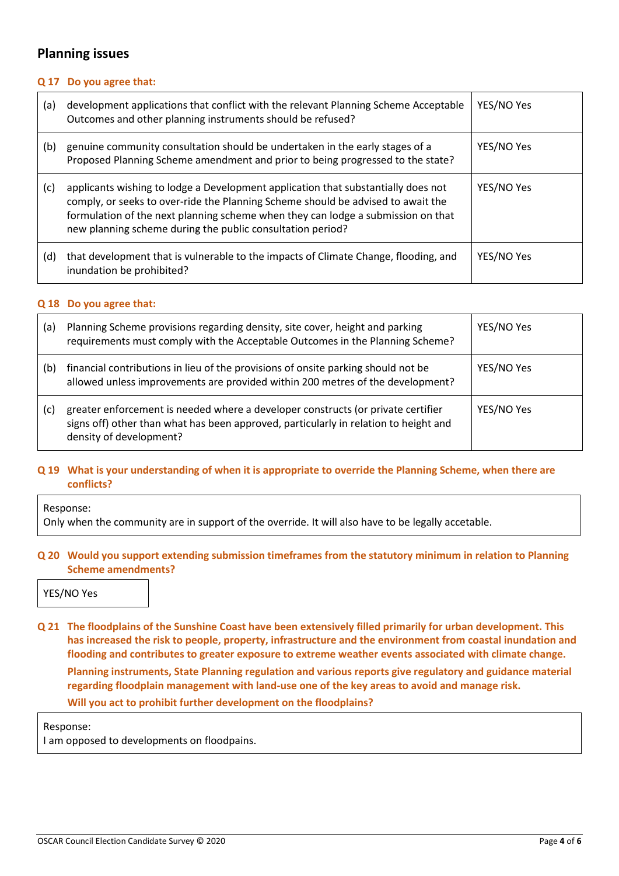## **Planning issues**

## **Q 17 Do you agree that:**

| (a) | development applications that conflict with the relevant Planning Scheme Acceptable<br>Outcomes and other planning instruments should be refused?                                                                                                                                                                       | YES/NO Yes |
|-----|-------------------------------------------------------------------------------------------------------------------------------------------------------------------------------------------------------------------------------------------------------------------------------------------------------------------------|------------|
| (b) | genuine community consultation should be undertaken in the early stages of a<br>Proposed Planning Scheme amendment and prior to being progressed to the state?                                                                                                                                                          | YES/NO Yes |
| (c) | applicants wishing to lodge a Development application that substantially does not<br>comply, or seeks to over-ride the Planning Scheme should be advised to await the<br>formulation of the next planning scheme when they can lodge a submission on that<br>new planning scheme during the public consultation period? | YES/NO Yes |
| (d) | that development that is vulnerable to the impacts of Climate Change, flooding, and<br>inundation be prohibited?                                                                                                                                                                                                        | YES/NO Yes |

#### **Q 18 Do you agree that:**

| (a) | Planning Scheme provisions regarding density, site cover, height and parking<br>requirements must comply with the Acceptable Outcomes in the Planning Scheme?                                       | YES/NO Yes |
|-----|-----------------------------------------------------------------------------------------------------------------------------------------------------------------------------------------------------|------------|
| (b) | financial contributions in lieu of the provisions of onsite parking should not be<br>allowed unless improvements are provided within 200 metres of the development?                                 | YES/NO Yes |
| (c) | greater enforcement is needed where a developer constructs (or private certifier<br>signs off) other than what has been approved, particularly in relation to height and<br>density of development? | YES/NO Yes |

## **Q 19 What is your understanding of when it is appropriate to override the Planning Scheme, when there are conflicts?**

Response:

Only when the community are in support of the override. It will also have to be legally accetable.

## **Q 20 Would you support extending submission timeframes from the statutory minimum in relation to Planning Scheme amendments?**

YES/NO Yes

**Q 21 The floodplains of the Sunshine Coast have been extensively filled primarily for urban development. This has increased the risk to people, property, infrastructure and the environment from coastal inundation and flooding and contributes to greater exposure to extreme weather events associated with climate change. Planning instruments, State Planning regulation and various reports give regulatory and guidance material regarding floodplain management with land-use one of the key areas to avoid and manage risk. Will you act to prohibit further development on the floodplains?**

Response:

I am opposed to developments on floodpains.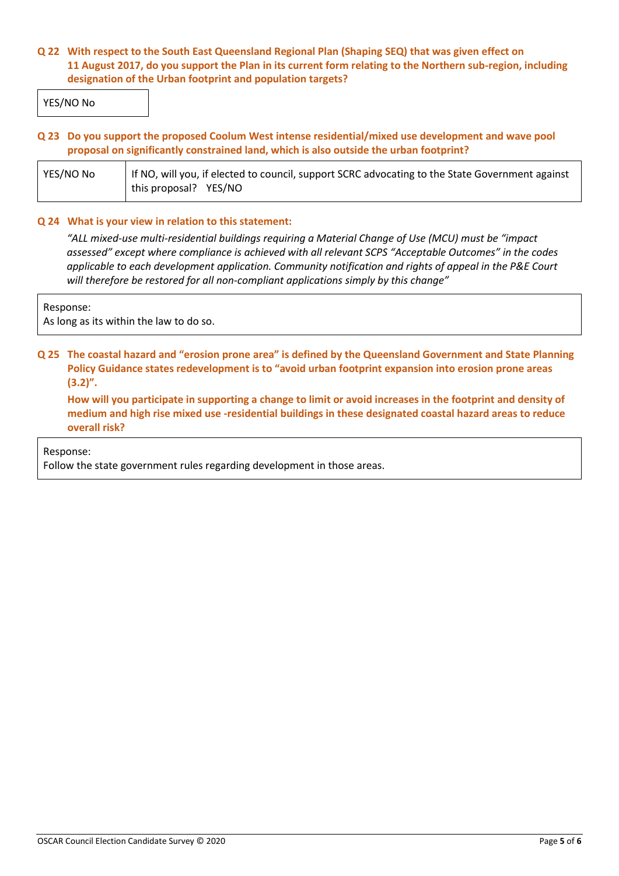## **Q 22 With respect to the South East Queensland Regional Plan (Shaping SEQ) that was given effect on 11 August 2017, do you support the Plan in its current form relating to the Northern sub-region, including designation of the Urban footprint and population targets?**

YES/NO No

## **Q 23 Do you support the proposed Coolum West intense residential/mixed use development and wave pool proposal on significantly constrained land, which is also outside the urban footprint?**

| YES/NO No | If NO, will you, if elected to council, support SCRC advocating to the State Government against |  |
|-----------|-------------------------------------------------------------------------------------------------|--|
|           | this proposal? YES/NO                                                                           |  |

#### **Q 24 What is your view in relation to this statement:**

*"ALL mixed-use multi-residential buildings requiring a Material Change of Use (MCU) must be "impact assessed" except where compliance is achieved with all relevant SCPS "Acceptable Outcomes" in the codes applicable to each development application. Community notification and rights of appeal in the P&E Court will therefore be restored for all non-compliant applications simply by this change"*

Response:

As long as its within the law to do so.

## **Q 25 The coastal hazard and "erosion prone area" is defined by the Queensland Government and State Planning Policy Guidance states redevelopment is to "avoid urban footprint expansion into erosion prone areas (3.2)".**

**How will you participate in supporting a change to limit or avoid increases in the footprint and density of medium and high rise mixed use -residential buildings in these designated coastal hazard areas to reduce overall risk?**

Response:

Follow the state government rules regarding development in those areas.